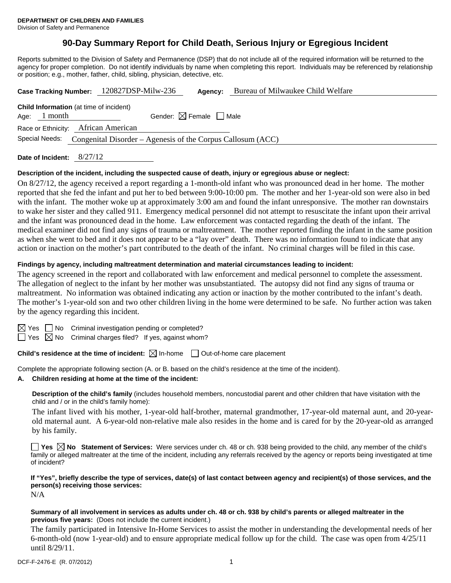# **90-Day Summary Report for Child Death, Serious Injury or Egregious Incident**

Reports submitted to the Division of Safety and Permanence (DSP) that do not include all of the required information will be returned to the agency for proper completion. Do not identify individuals by name when completing this report. Individuals may be referenced by relationship or position; e.g., mother, father, child, sibling, physician, detective, etc.

|                                                                            |                                                                  | Case Tracking Number: 120827DSP-Milw-236 | Agency:                                | Bureau of Milwaukee Child Welfare |  |  |  |
|----------------------------------------------------------------------------|------------------------------------------------------------------|------------------------------------------|----------------------------------------|-----------------------------------|--|--|--|
|                                                                            | <b>Child Information</b> (at time of incident)<br>Age: $1$ month |                                          | Gender: $\boxtimes$ Female $\Box$ Male |                                   |  |  |  |
| Race or Ethnicity: African American                                        |                                                                  |                                          |                                        |                                   |  |  |  |
| Special Needs: Congenital Disorder – Agenesis of the Corpus Callosum (ACC) |                                                                  |                                          |                                        |                                   |  |  |  |
|                                                                            |                                                                  |                                          |                                        |                                   |  |  |  |

**Date of Incident:** 8/27/12

## **Description of the incident, including the suspected cause of death, injury or egregious abuse or neglect:**

On 8/27/12, the agency received a report regarding a 1-month-old infant who was pronounced dead in her home. The mother reported that she fed the infant and put her to bed between 9:00-10:00 pm. The mother and her 1-year-old son were also in bed with the infant. The mother woke up at approximately 3:00 am and found the infant unresponsive. The mother ran downstairs to wake her sister and they called 911. Emergency medical personnel did not attempt to resuscitate the infant upon their arrival and the infant was pronounced dead in the home. Law enforcement was contacted regarding the death of the infant. The medical examiner did not find any signs of trauma or maltreatment. The mother reported finding the infant in the same position as when she went to bed and it does not appear to be a "lay over" death. There was no information found to indicate that any action or inaction on the mother's part contributed to the death of the infant. No criminal charges will be filed in this case.

## **Findings by agency, including maltreatment determination and material circumstances leading to incident:**

The agency screened in the report and collaborated with law enforcement and medical personnel to complete the assessment. The allegation of neglect to the infant by her mother was unsubstantiated. The autopsy did not find any signs of trauma or maltreatment. No information was obtained indicating any action or inaction by the mother contributed to the infant's death. The mother's 1-year-old son and two other children living in the home were determined to be safe. No further action was taken by the agency regarding this incident.

 $\boxtimes$  Yes  $\Box$  No Criminal investigation pending or completed?

 $\Box$  Yes  $\boxtimes$  No Criminal charges filed? If yes, against whom?

**Child's residence at the time of incident:**  $\boxtimes$  In-home  $\Box$  Out-of-home care placement

Complete the appropriate following section (A. or B. based on the child's residence at the time of the incident).

## **A. Children residing at home at the time of the incident:**

**Description of the child's family** (includes household members, noncustodial parent and other children that have visitation with the child and / or in the child's family home):

The infant lived with his mother, 1-year-old half-brother, maternal grandmother, 17-year-old maternal aunt, and 20-yearold maternal aunt. A 6-year-old non-relative male also resides in the home and is cared for by the 20-year-old as arranged by his family.

**Yes No Statement of Services:** Were services under ch. 48 or ch. 938 being provided to the child, any member of the child's family or alleged maltreater at the time of the incident, including any referrals received by the agency or reports being investigated at time of incident?

**If "Yes", briefly describe the type of services, date(s) of last contact between agency and recipient(s) of those services, and the person(s) receiving those services:** 

N/A

#### **Summary of all involvement in services as adults under ch. 48 or ch. 938 by child's parents or alleged maltreater in the previous five years:** (Does not include the current incident.)

The family participated in Intensive In-Home Services to assist the mother in understanding the developmental needs of her 6-month-old (now 1-year-old) and to ensure appropriate medical follow up for the child. The case was open from 4/25/11 until 8/29/11.